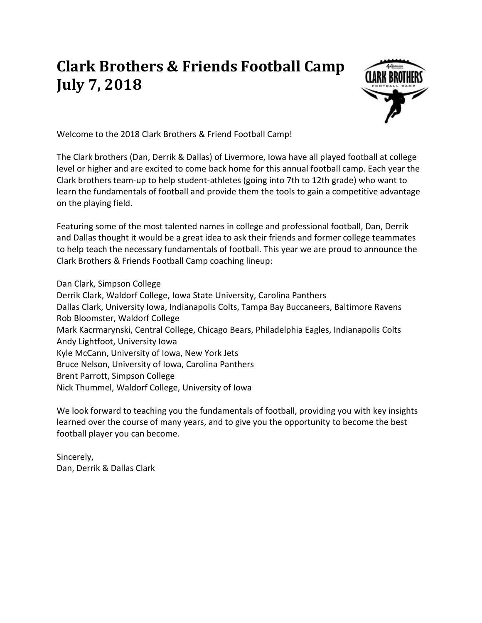## **Clark Brothers & Friends Football Camp July 7, 2018**



Welcome to the 2018 Clark Brothers & Friend Football Camp!

The Clark brothers (Dan, Derrik & Dallas) of Livermore, Iowa have all played football at college level or higher and are excited to come back home for this annual football camp. Each year the Clark brothers team-up to help student-athletes (going into 7th to 12th grade) who want to learn the fundamentals of football and provide them the tools to gain a competitive advantage on the playing field.

Featuring some of the most talented names in college and professional football, Dan, Derrik and Dallas thought it would be a great idea to ask their friends and former college teammates to help teach the necessary fundamentals of football. This year we are proud to announce the Clark Brothers & Friends Football Camp coaching lineup:

Dan Clark, Simpson College Derrik Clark, Waldorf College, Iowa State University, Carolina Panthers Dallas Clark, University Iowa, Indianapolis Colts, Tampa Bay Buccaneers, Baltimore Ravens Rob Bloomster, Waldorf College Mark Kacrmarynski, Central College, Chicago Bears, Philadelphia Eagles, Indianapolis Colts Andy Lightfoot, University Iowa Kyle McCann, University of Iowa, New York Jets Bruce Nelson, University of Iowa, Carolina Panthers Brent Parrott, Simpson College Nick Thummel, Waldorf College, University of Iowa

We look forward to teaching you the fundamentals of football, providing you with key insights learned over the course of many years, and to give you the opportunity to become the best football player you can become.

Sincerely, Dan, Derrik & Dallas Clark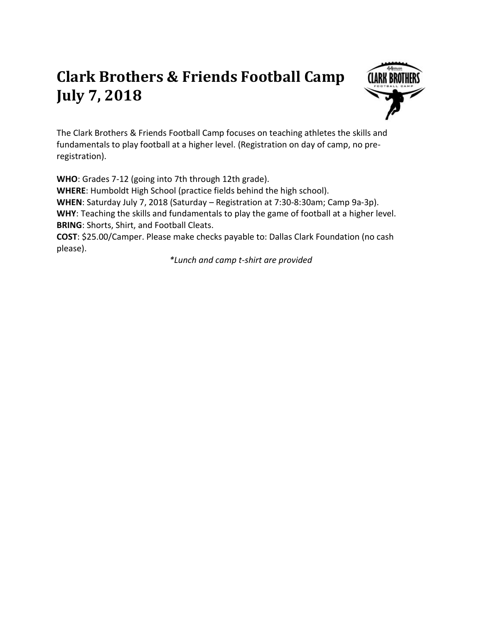## **Clark Brothers & Friends Football Camp July 7, 2018**



The Clark Brothers & Friends Football Camp focuses on teaching athletes the skills and fundamentals to play football at a higher level. (Registration on day of camp, no preregistration).

**WHO**: Grades 7-12 (going into 7th through 12th grade). **WHERE**: Humboldt High School (practice fields behind the high school). **WHEN**: Saturday July 7, 2018 (Saturday – Registration at 7:30-8:30am; Camp 9a-3p). **WHY**: Teaching the skills and fundamentals to play the game of football at a higher level. **BRING**: Shorts, Shirt, and Football Cleats. **COST**: \$25.00/Camper. Please make checks payable to: Dallas Clark Foundation (no cash please).

*\*Lunch and camp t-shirt are provided*